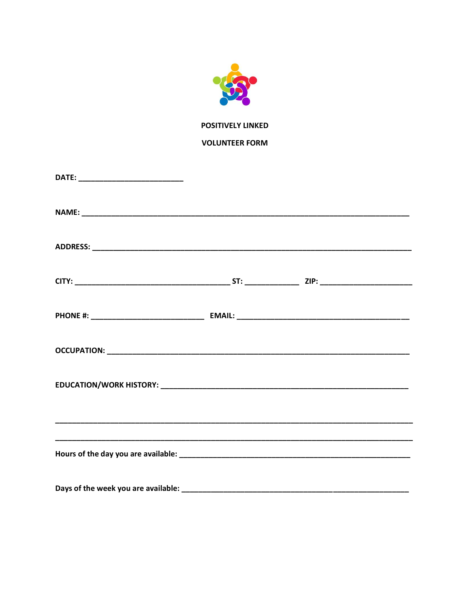

**POSITIVELY LINKED** 

**VOLUNTEER FORM**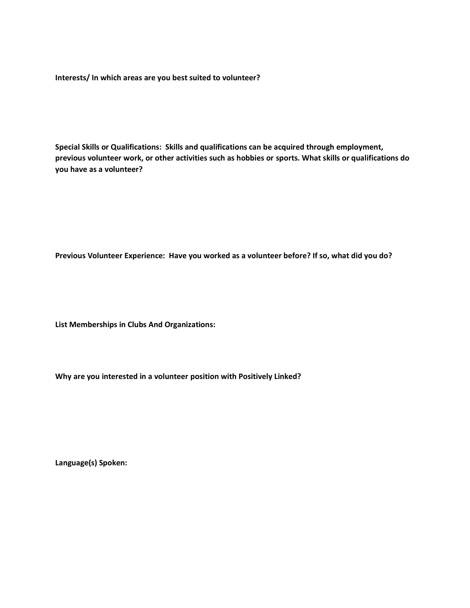**Interests/ In which areas are you best suited to volunteer?**

**Special Skills or Qualifications: Skills and qualifications can be acquired through employment, previous volunteer work, or other activities such as hobbies or sports. What skills or qualifications do you have as a volunteer?**

**Previous Volunteer Experience: Have you worked as a volunteer before? If so, what did you do?** 

**List Memberships in Clubs And Organizations:** 

**Why are you interested in a volunteer position with Positively Linked?** 

**Language(s) Spoken:**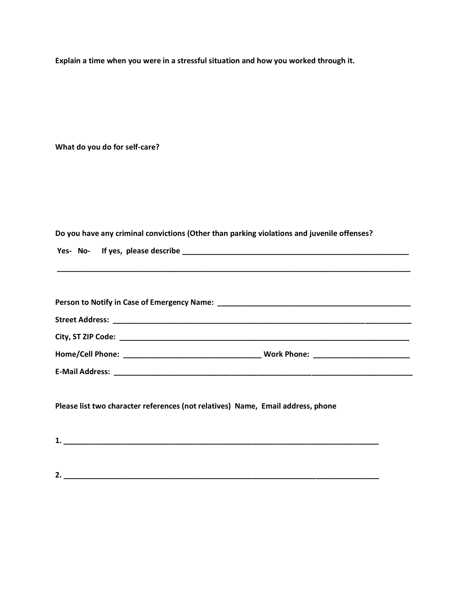**Explain a time when you were in a stressful situation and how you worked through it.**

**What do you do for self-care?**

**Do you have any criminal convictions (Other than parking violations and juvenile offenses?** 

|  | Yes- No- If yes, please describe |  |
|--|----------------------------------|--|
|  |                                  |  |

**\_\_\_\_\_\_\_\_\_\_\_\_\_\_\_\_\_\_\_\_\_\_\_\_\_\_\_\_\_\_\_\_\_\_\_\_\_\_\_\_\_\_\_\_\_\_\_\_\_\_\_\_\_\_\_\_\_\_\_\_\_\_\_\_\_\_\_\_\_\_\_\_\_\_\_\_\_\_\_\_\_\_\_\_**

| Work Phone: ________________________ |
|--------------------------------------|
|                                      |

**Please list two character references (not relatives) Name, Email address, phone** 

| . . |  |  |  |
|-----|--|--|--|
|     |  |  |  |
|     |  |  |  |

**2. \_\_\_\_\_\_\_\_\_\_\_\_\_\_\_\_\_\_\_\_\_\_\_\_\_\_\_\_\_\_\_\_\_\_\_\_\_\_\_\_\_\_\_\_\_\_\_\_\_\_\_\_\_\_\_\_\_\_\_\_\_\_\_\_\_\_\_\_\_\_\_\_\_\_\_**